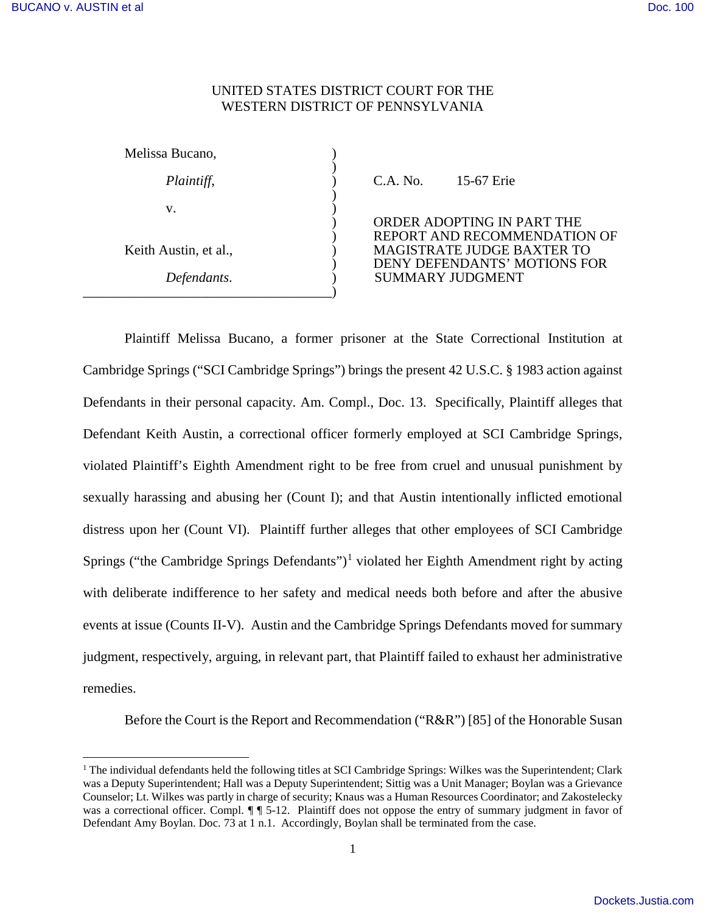$\overline{a}$ 

# UNITED STATES DISTRICT COURT FOR THE WESTERN DISTRICT OF PENNSYLVANIA

| Melissa Bucano,       |          |                                                        |
|-----------------------|----------|--------------------------------------------------------|
| Plaintiff,            | C.A. No. | 15-67 Erie                                             |
| v.                    |          | <b>ORDER ADOPTING IN I</b><br><b>REPORT AND RECOMN</b> |
| Keith Austin, et al., |          | <b>MAGISTRATE JUDGE E</b><br><b>DENY DEFENDANTS' N</b> |
| Defendants.           |          | <b>SUMMARY JUDGMENT</b>                                |

) ORDER ADOPTING IN PART THE ) REPORT AND RECOMMENDATION OF MAGISTRATE JUDGE BAXTER TO ) DENY DEFENDANTS' MOTIONS FOR *Defendants*. ) SUMMARY JUDGMENT

Plaintiff Melissa Bucano, a former prisoner at the State Correctional Institution at Cambridge Springs ("SCI Cambridge Springs") brings the present 42 U.S.C. § 1983 action against Defendants in their personal capacity. Am. Compl., Doc. 13. Specifically, Plaintiff alleges that Defendant Keith Austin, a correctional officer formerly employed at SCI Cambridge Springs, violated Plaintiff's Eighth Amendment right to be free from cruel and unusual punishment by sexually harassing and abusing her (Count I); and that Austin intentionally inflicted emotional distress upon her (Count VI). Plaintiff further alleges that other employees of SCI Cambridge Springs ("the Cambridge Springs Defendants")<sup>[1](#page-0-0)</sup> violated her Eighth Amendment right by acting with deliberate indifference to her safety and medical needs both before and after the abusive events at issue (Counts II-V). Austin and the Cambridge Springs Defendants moved for summary judgment, respectively, arguing, in relevant part, that Plaintiff failed to exhaust her administrative remedies.

Before the Court is the Report and Recommendation ("R&R") [85] of the Honorable Susan

<span id="page-0-0"></span><sup>&</sup>lt;sup>1</sup> The individual defendants held the following titles at SCI Cambridge Springs: Wilkes was the Superintendent; Clark was a Deputy Superintendent; Hall was a Deputy Superintendent; Sittig was a Unit Manager; Boylan was a Grievance Counselor; Lt. Wilkes was partly in charge of security; Knaus was a Human Resources Coordinator; and Zakostelecky was a correctional officer. Compl.  $\P\P$  5-12. Plaintiff does not oppose the entry of summary judgment in favor of Defendant Amy Boylan. Doc. 73 at 1 n.1. Accordingly, Boylan shall be terminated from the case.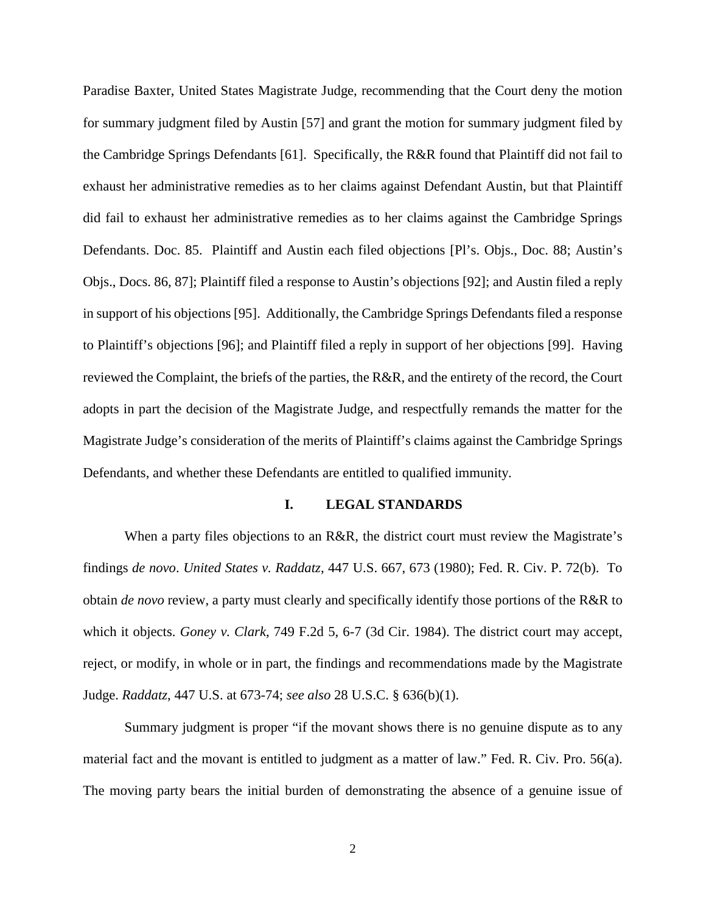Paradise Baxter, United States Magistrate Judge, recommending that the Court deny the motion for summary judgment filed by Austin [57] and grant the motion for summary judgment filed by the Cambridge Springs Defendants [61]. Specifically, the R&R found that Plaintiff did not fail to exhaust her administrative remedies as to her claims against Defendant Austin, but that Plaintiff did fail to exhaust her administrative remedies as to her claims against the Cambridge Springs Defendants. Doc. 85. Plaintiff and Austin each filed objections [Pl's. Objs., Doc. 88; Austin's Objs., Docs. 86, 87]; Plaintiff filed a response to Austin's objections [92]; and Austin filed a reply in support of his objections [95]. Additionally, the Cambridge Springs Defendants filed a response to Plaintiff's objections [96]; and Plaintiff filed a reply in support of her objections [99]. Having reviewed the Complaint, the briefs of the parties, the R&R, and the entirety of the record, the Court adopts in part the decision of the Magistrate Judge, and respectfully remands the matter for the Magistrate Judge's consideration of the merits of Plaintiff's claims against the Cambridge Springs Defendants, and whether these Defendants are entitled to qualified immunity.

#### **I. LEGAL STANDARDS**

When a party files objections to an R&R, the district court must review the Magistrate's findings *de novo*. *United States v. Raddatz*, 447 U.S. 667, 673 (1980); Fed. R. Civ. P. 72(b). To obtain *de novo* review, a party must clearly and specifically identify those portions of the R&R to which it objects. *Goney v. Clark*, 749 F.2d 5, 6-7 (3d Cir. 1984). The district court may accept, reject, or modify, in whole or in part, the findings and recommendations made by the Magistrate Judge. *Raddatz*, 447 U.S. at 673-74; *see also* 28 U.S.C. § 636(b)(1).

Summary judgment is proper "if the movant shows there is no genuine dispute as to any material fact and the movant is entitled to judgment as a matter of law." Fed. R. Civ. Pro. 56(a). The moving party bears the initial burden of demonstrating the absence of a genuine issue of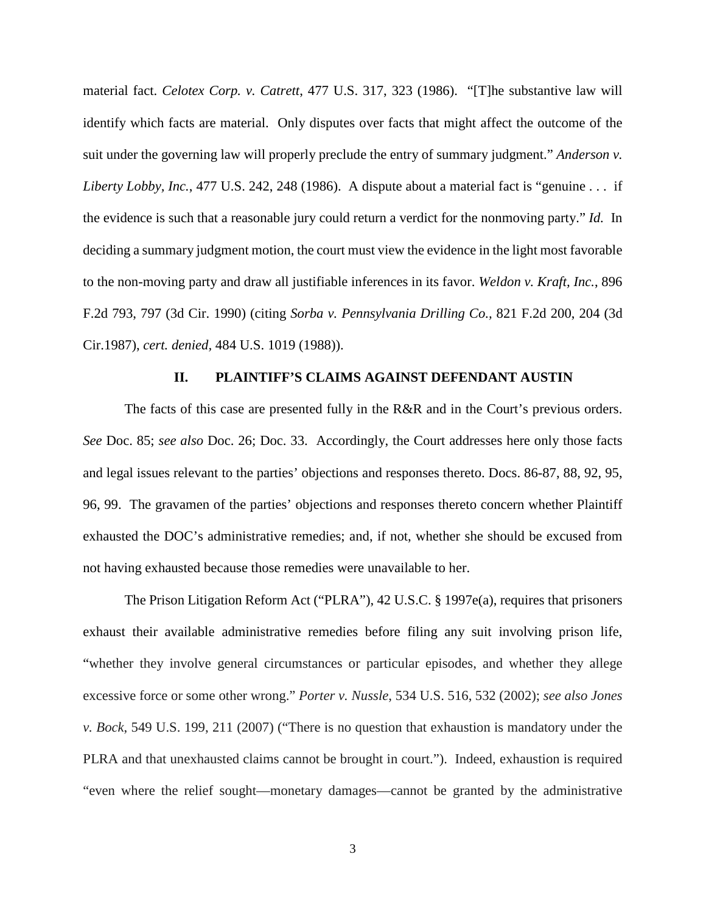material fact. *Celotex Corp. v. Catrett*, 477 U.S. 317, 323 (1986). "[T]he substantive law will identify which facts are material. Only disputes over facts that might affect the outcome of the suit under the governing law will properly preclude the entry of summary judgment." *Anderson v. Liberty Lobby, Inc.*, 477 U.S. 242, 248 (1986). A dispute about a material fact is "genuine . . . if the evidence is such that a reasonable jury could return a verdict for the nonmoving party." *Id.* In deciding a summary judgment motion, the court must view the evidence in the light most favorable to the non-moving party and draw all justifiable inferences in its favor. *Weldon v. Kraft, Inc.*, 896 F.2d 793, 797 (3d Cir. 1990) (citing *Sorba v. Pennsylvania Drilling Co.,* 821 F.2d 200, 204 (3d Cir.1987), *cert. denied,* 484 U.S. 1019 (1988)).

### **II. PLAINTIFF'S CLAIMS AGAINST DEFENDANT AUSTIN**

The facts of this case are presented fully in the R&R and in the Court's previous orders. *See* Doc. 85; *see also* Doc. 26; Doc. 33. Accordingly, the Court addresses here only those facts and legal issues relevant to the parties' objections and responses thereto. Docs. 86-87, 88, 92, 95, 96, 99. The gravamen of the parties' objections and responses thereto concern whether Plaintiff exhausted the DOC's administrative remedies; and, if not, whether she should be excused from not having exhausted because those remedies were unavailable to her.

The Prison Litigation Reform Act ("PLRA"), 42 U.S.C. § 1997e(a), requires that prisoners exhaust their available administrative remedies before filing any suit involving prison life, "whether they involve general circumstances or particular episodes, and whether they allege excessive force or some other wrong." *Porter v. Nussle*, 534 U.S. 516, 532 (2002); *see also Jones v. Bock*, 549 U.S. 199, 211 (2007) ("There is no question that exhaustion is mandatory under the PLRA and that unexhausted claims cannot be brought in court."). Indeed, exhaustion is required "even where the relief sought—monetary damages—cannot be granted by the administrative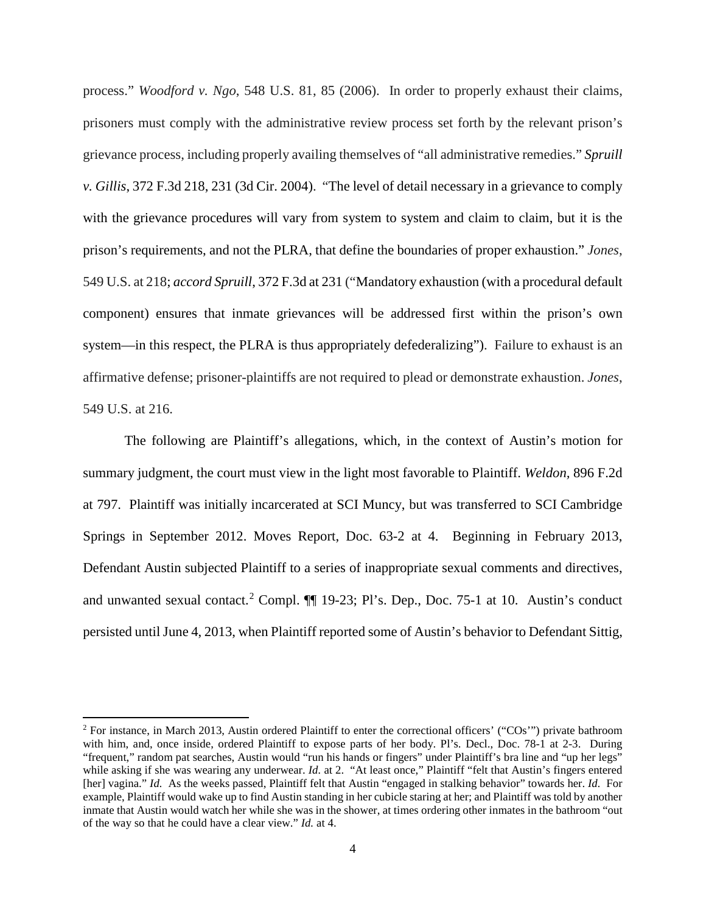process." *Woodford v. Ngo*, 548 U.S. 81, 85 (2006). In order to properly exhaust their claims, prisoners must comply with the administrative review process set forth by the relevant prison's grievance process, including properly availing themselves of "all administrative remedies." *Spruill v. Gillis*, 372 F.3d 218, 231 (3d Cir. 2004). "The level of detail necessary in a grievance to comply with the grievance procedures will vary from system to system and claim to claim, but it is the prison's requirements, and not the PLRA, that define the boundaries of proper exhaustion." *Jones*, 549 U.S. at 218; *accord Spruill*, 372 F.3d at 231 ("Mandatory exhaustion (with a procedural default component) ensures that inmate grievances will be addressed first within the prison's own system—in this respect, the PLRA is thus appropriately defederalizing"). Failure to exhaust is an affirmative defense; prisoner-plaintiffs are not required to plead or demonstrate exhaustion. *Jones*, 549 U.S. at 216.

The following are Plaintiff's allegations, which, in the context of Austin's motion for summary judgment, the court must view in the light most favorable to Plaintiff. *Weldon,* 896 F.2d at 797. Plaintiff was initially incarcerated at SCI Muncy, but was transferred to SCI Cambridge Springs in September 2012. Moves Report, Doc. 63-2 at 4. Beginning in February 2013, Defendant Austin subjected Plaintiff to a series of inappropriate sexual comments and directives, and unwanted sexual contact.<sup>[2](#page-3-0)</sup> Compl.  $\P\P$  19-23; Pl's. Dep., Doc. 75-1 at 10. Austin's conduct persisted until June 4, 2013, when Plaintiff reported some of Austin's behavior to Defendant Sittig,

<span id="page-3-0"></span><sup>&</sup>lt;sup>2</sup> For instance, in March 2013, Austin ordered Plaintiff to enter the correctional officers' ("COs") private bathroom with him, and, once inside, ordered Plaintiff to expose parts of her body. Pl's. Decl., Doc. 78-1 at 2-3. During "frequent," random pat searches, Austin would "run his hands or fingers" under Plaintiff's bra line and "up her legs" while asking if she was wearing any underwear. *Id.* at 2. "At least once," Plaintiff "felt that Austin's fingers entered [her] vagina." *Id.* As the weeks passed, Plaintiff felt that Austin "engaged in stalking behavior" towards her. *Id.* For example, Plaintiff would wake up to find Austin standing in her cubicle staring at her; and Plaintiff was told by another inmate that Austin would watch her while she was in the shower, at times ordering other inmates in the bathroom "out of the way so that he could have a clear view." *Id.* at 4.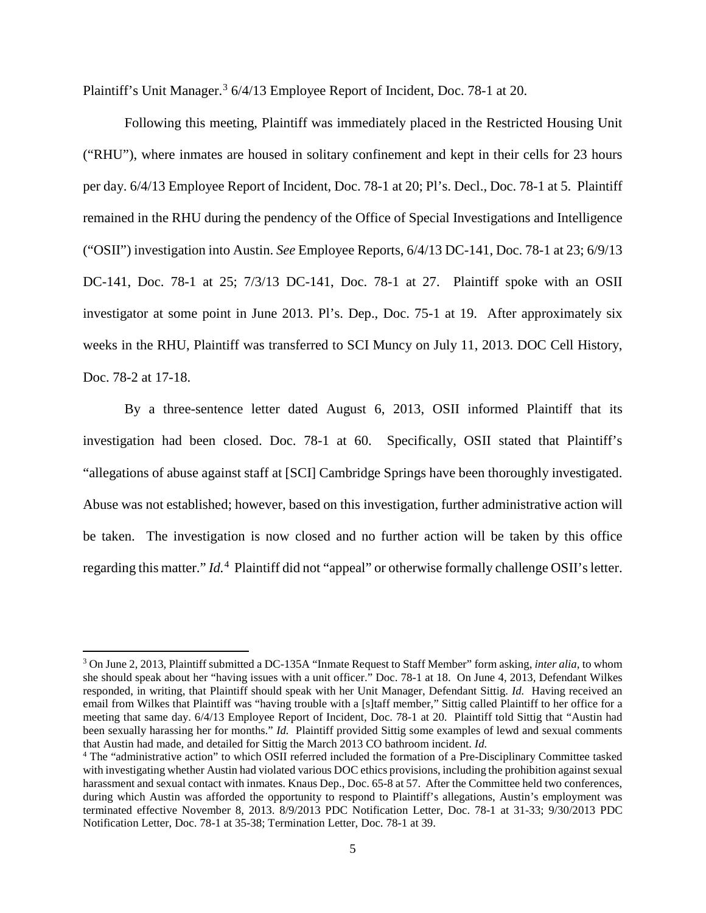Plaintiff's Unit Manager.<sup>[3](#page-4-0)</sup> 6/4/13 Employee Report of Incident, Doc. 78-1 at 20.

Following this meeting, Plaintiff was immediately placed in the Restricted Housing Unit ("RHU"), where inmates are housed in solitary confinement and kept in their cells for 23 hours per day. 6/4/13 Employee Report of Incident, Doc. 78-1 at 20; Pl's. Decl., Doc. 78-1 at 5. Plaintiff remained in the RHU during the pendency of the Office of Special Investigations and Intelligence ("OSII") investigation into Austin. *See* Employee Reports, 6/4/13 DC-141, Doc. 78-1 at 23; 6/9/13 DC-141, Doc. 78-1 at 25; 7/3/13 DC-141, Doc. 78-1 at 27. Plaintiff spoke with an OSII investigator at some point in June 2013. Pl's. Dep., Doc. 75-1 at 19. After approximately six weeks in the RHU, Plaintiff was transferred to SCI Muncy on July 11, 2013. DOC Cell History, Doc. 78-2 at 17-18.

By a three-sentence letter dated August 6, 2013, OSII informed Plaintiff that its investigation had been closed. Doc. 78-1 at 60. Specifically, OSII stated that Plaintiff's "allegations of abuse against staff at [SCI] Cambridge Springs have been thoroughly investigated. Abuse was not established; however, based on this investigation, further administrative action will be taken. The investigation is now closed and no further action will be taken by this office regarding this matter." *Id.*<sup>[4](#page-4-1)</sup> Plaintiff did not "appeal" or otherwise formally challenge OSII's letter.

<span id="page-4-0"></span><sup>3</sup> On June 2, 2013, Plaintiff submitted a DC-135A "Inmate Request to Staff Member" form asking, *inter alia*, to whom she should speak about her "having issues with a unit officer." Doc. 78-1 at 18. On June 4, 2013, Defendant Wilkes responded, in writing, that Plaintiff should speak with her Unit Manager, Defendant Sittig. *Id.* Having received an email from Wilkes that Plaintiff was "having trouble with a [s]taff member," Sittig called Plaintiff to her office for a meeting that same day. 6/4/13 Employee Report of Incident, Doc. 78-1 at 20. Plaintiff told Sittig that "Austin had been sexually harassing her for months." *Id.* Plaintiff provided Sittig some examples of lewd and sexual comments that Austin had made, and detailed for Sittig the March 2013 CO bathroom incident. *Id.*

<span id="page-4-1"></span><sup>4</sup> The "administrative action" to which OSII referred included the formation of a Pre-Disciplinary Committee tasked with investigating whether Austin had violated various DOC ethics provisions, including the prohibition against sexual harassment and sexual contact with inmates. Knaus Dep., Doc. 65-8 at 57. After the Committee held two conferences, during which Austin was afforded the opportunity to respond to Plaintiff's allegations, Austin's employment was terminated effective November 8, 2013. 8/9/2013 PDC Notification Letter, Doc. 78-1 at 31-33; 9/30/2013 PDC Notification Letter, Doc. 78-1 at 35-38; Termination Letter, Doc. 78-1 at 39.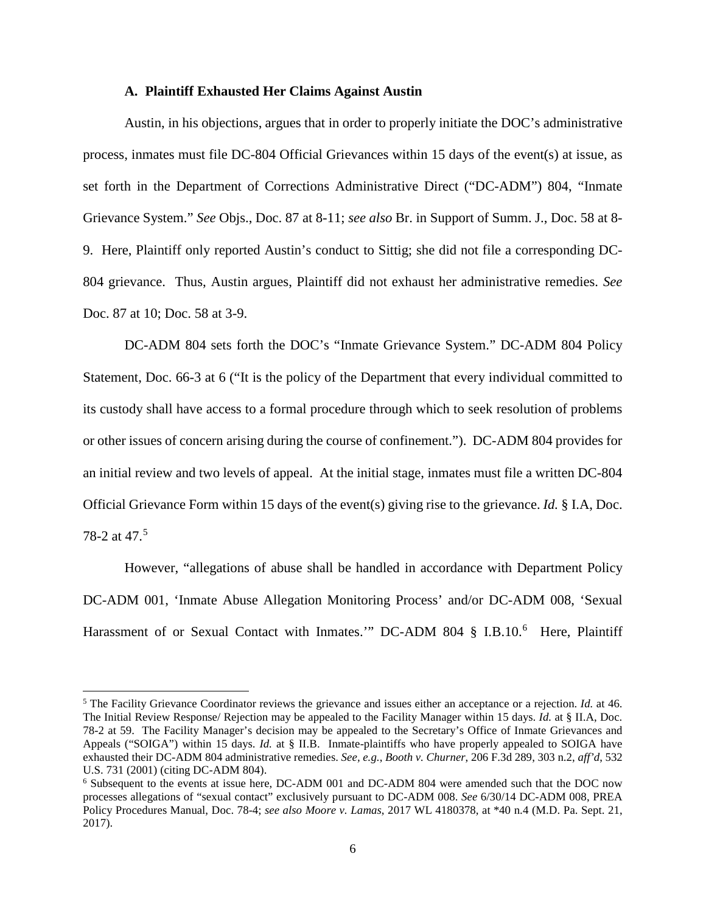### **A. Plaintiff Exhausted Her Claims Against Austin**

Austin, in his objections, argues that in order to properly initiate the DOC's administrative process, inmates must file DC-804 Official Grievances within 15 days of the event(s) at issue, as set forth in the Department of Corrections Administrative Direct ("DC-ADM") 804, "Inmate Grievance System." *See* Objs., Doc. 87 at 8-11; *see also* Br. in Support of Summ. J., Doc. 58 at 8- 9. Here, Plaintiff only reported Austin's conduct to Sittig; she did not file a corresponding DC-804 grievance. Thus, Austin argues, Plaintiff did not exhaust her administrative remedies. *See* Doc. 87 at 10; Doc. 58 at 3-9.

DC-ADM 804 sets forth the DOC's "Inmate Grievance System." DC-ADM 804 Policy Statement, Doc. 66-3 at 6 ("It is the policy of the Department that every individual committed to its custody shall have access to a formal procedure through which to seek resolution of problems or other issues of concern arising during the course of confinement."). DC-ADM 804 provides for an initial review and two levels of appeal. At the initial stage, inmates must file a written DC-804 Official Grievance Form within 15 days of the event(s) giving rise to the grievance. *Id.* § I.A, Doc. 78-2 at 47.<sup>[5](#page-5-0)</sup>

 However, "allegations of abuse shall be handled in accordance with Department Policy DC-ADM 001, 'Inmate Abuse Allegation Monitoring Process' and/or DC-ADM 008, 'Sexual Harassment of or Sexual Contact with Inmates." DC-ADM 804 § I.B.10.<sup>[6](#page-5-1)</sup> Here, Plaintiff

<span id="page-5-0"></span><sup>5</sup> The Facility Grievance Coordinator reviews the grievance and issues either an acceptance or a rejection. *Id.* at 46. The Initial Review Response/ Rejection may be appealed to the Facility Manager within 15 days. *Id.* at § II.A, Doc. 78-2 at 59. The Facility Manager's decision may be appealed to the Secretary's Office of Inmate Grievances and Appeals ("SOIGA") within 15 days. *Id.* at § II.B. Inmate-plaintiffs who have properly appealed to SOIGA have exhausted their DC-ADM 804 administrative remedies. *See, e.g.*, *Booth v. Churner*, 206 F.3d 289, 303 n.2, *aff'd*, 532 U.S. 731 (2001) (citing DC-ADM 804).

<span id="page-5-1"></span><sup>6</sup> Subsequent to the events at issue here, DC-ADM 001 and DC-ADM 804 were amended such that the DOC now processes allegations of "sexual contact" exclusively pursuant to DC-ADM 008. *See* 6/30/14 DC-ADM 008, PREA Policy Procedures Manual, Doc. 78-4; *see also Moore v. Lamas*, 2017 WL 4180378, at \*40 n.4 (M.D. Pa. Sept. 21, 2017).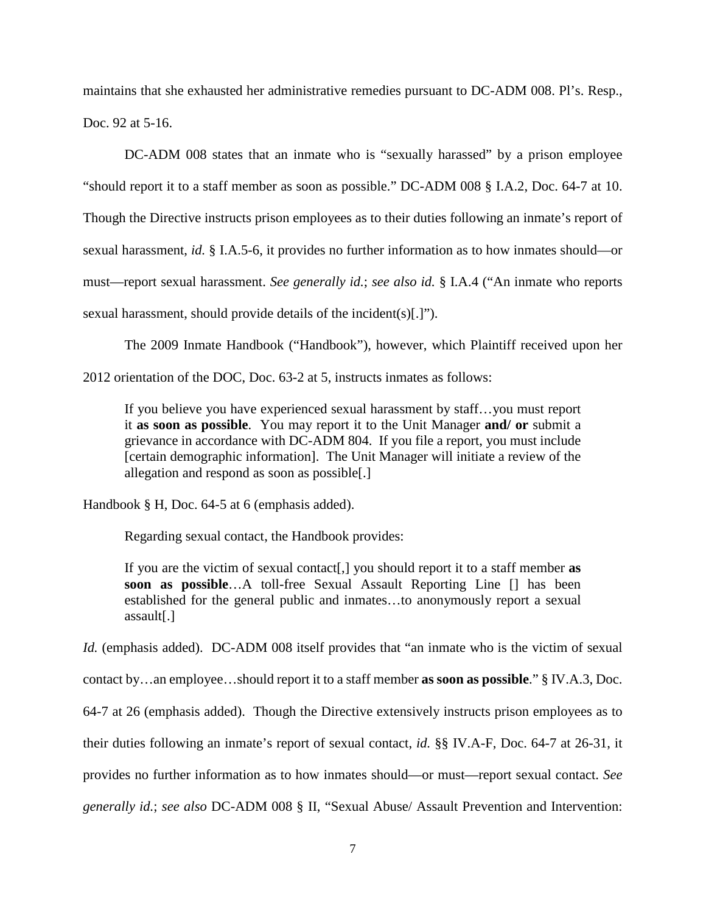maintains that she exhausted her administrative remedies pursuant to DC-ADM 008. Pl's. Resp., Doc. 92 at 5-16.

DC-ADM 008 states that an inmate who is "sexually harassed" by a prison employee "should report it to a staff member as soon as possible." DC-ADM 008 § I.A.2, Doc. 64-7 at 10. Though the Directive instructs prison employees as to their duties following an inmate's report of sexual harassment, *id.* § I.A.5-6, it provides no further information as to how inmates should—or must—report sexual harassment. *See generally id.*; *see also id.* § I.A.4 ("An inmate who reports sexual harassment, should provide details of the incident(s)[.]").

The 2009 Inmate Handbook ("Handbook"), however, which Plaintiff received upon her

2012 orientation of the DOC, Doc. 63-2 at 5, instructs inmates as follows:

If you believe you have experienced sexual harassment by staff…you must report it **as soon as possible**. You may report it to the Unit Manager **and/ or** submit a grievance in accordance with DC-ADM 804. If you file a report, you must include [certain demographic information]. The Unit Manager will initiate a review of the allegation and respond as soon as possible[.]

Handbook § H, Doc. 64-5 at 6 (emphasis added).

Regarding sexual contact, the Handbook provides:

If you are the victim of sexual contact[,] you should report it to a staff member **as soon as possible**…A toll-free Sexual Assault Reporting Line [] has been established for the general public and inmates…to anonymously report a sexual assault[.]

*Id.* (emphasis added). DC-ADM 008 itself provides that "an inmate who is the victim of sexual

contact by…an employee…should report it to a staff member **as soon as possible**." § IV.A.3, Doc.

64-7 at 26 (emphasis added). Though the Directive extensively instructs prison employees as to

their duties following an inmate's report of sexual contact, *id.* §§ IV.A-F, Doc. 64-7 at 26-31, it

provides no further information as to how inmates should—or must—report sexual contact. *See*

*generally id.*; *see also* DC-ADM 008 § II, "Sexual Abuse/ Assault Prevention and Intervention: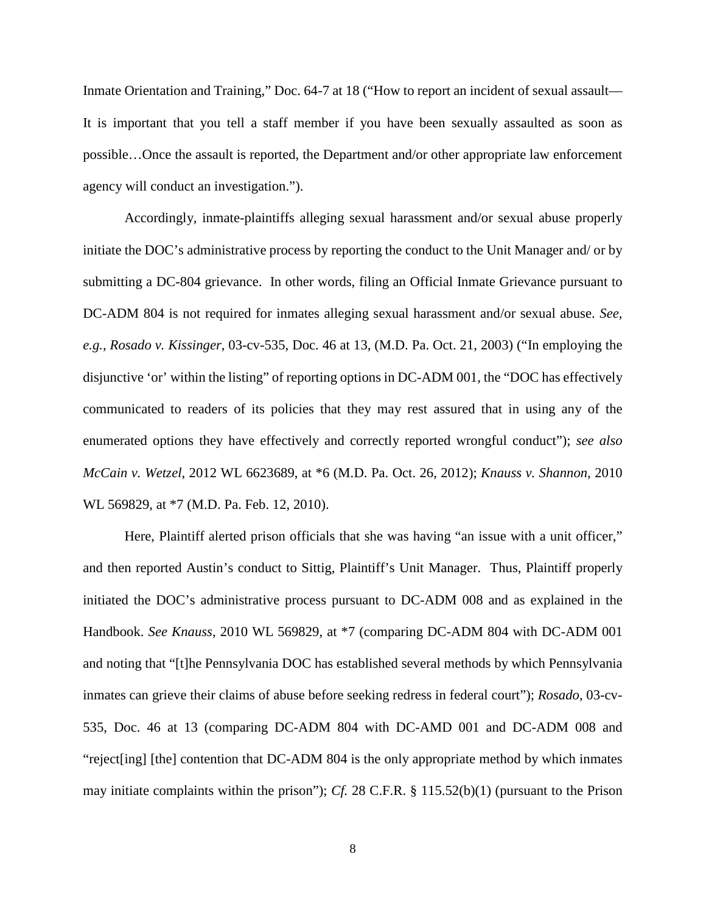Inmate Orientation and Training," Doc. 64-7 at 18 ("How to report an incident of sexual assault— It is important that you tell a staff member if you have been sexually assaulted as soon as possible…Once the assault is reported, the Department and/or other appropriate law enforcement agency will conduct an investigation.").

 Accordingly, inmate-plaintiffs alleging sexual harassment and/or sexual abuse properly initiate the DOC's administrative process by reporting the conduct to the Unit Manager and/ or by submitting a DC-804 grievance. In other words, filing an Official Inmate Grievance pursuant to DC-ADM 804 is not required for inmates alleging sexual harassment and/or sexual abuse. *See, e.g.*, *Rosado v. Kissinger*, 03-cv-535, Doc. 46 at 13, (M.D. Pa. Oct. 21, 2003) ("In employing the disjunctive 'or' within the listing" of reporting options in DC-ADM 001, the "DOC has effectively communicated to readers of its policies that they may rest assured that in using any of the enumerated options they have effectively and correctly reported wrongful conduct"); *see also McCain v. Wetzel*, 2012 WL 6623689, at \*6 (M.D. Pa. Oct. 26, 2012); *Knauss v. Shannon*, 2010 WL 569829, at \*7 (M.D. Pa. Feb. 12, 2010).

Here, Plaintiff alerted prison officials that she was having "an issue with a unit officer," and then reported Austin's conduct to Sittig, Plaintiff's Unit Manager. Thus, Plaintiff properly initiated the DOC's administrative process pursuant to DC-ADM 008 and as explained in the Handbook. *See Knauss*, 2010 WL 569829, at \*7 (comparing DC-ADM 804 with DC-ADM 001 and noting that "[t]he Pennsylvania DOC has established several methods by which Pennsylvania inmates can grieve their claims of abuse before seeking redress in federal court"); *Rosado*, 03-cv-535, Doc. 46 at 13 (comparing DC-ADM 804 with DC-AMD 001 and DC-ADM 008 and "reject[ing] [the] contention that DC-ADM 804 is the only appropriate method by which inmates may initiate complaints within the prison"); *Cf.* 28 C.F.R. § 115.52(b)(1) (pursuant to the Prison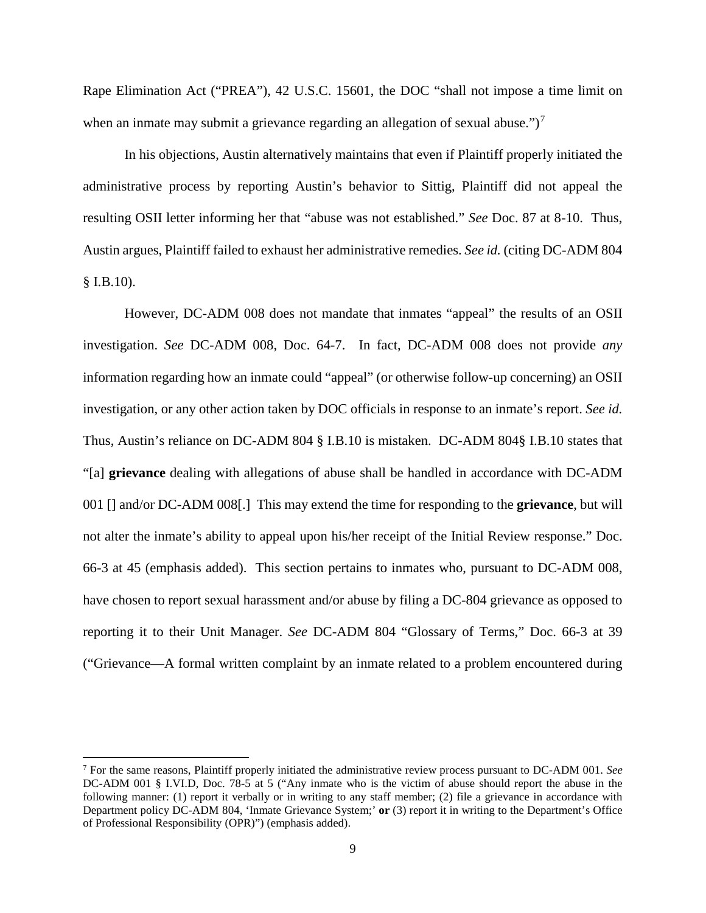Rape Elimination Act ("PREA"), 42 U.S.C. 15601, the DOC "shall not impose a time limit on when an inmate may submit a grievance regarding an allegation of sexual abuse." $)^7$  $)^7$ 

In his objections, Austin alternatively maintains that even if Plaintiff properly initiated the administrative process by reporting Austin's behavior to Sittig, Plaintiff did not appeal the resulting OSII letter informing her that "abuse was not established." *See* Doc. 87 at 8-10. Thus, Austin argues, Plaintiff failed to exhaust her administrative remedies. *See id.* (citing DC-ADM 804 § I.B.10).

However, DC-ADM 008 does not mandate that inmates "appeal" the results of an OSII investigation. *See* DC-ADM 008, Doc. 64-7. In fact, DC-ADM 008 does not provide *any* information regarding how an inmate could "appeal" (or otherwise follow-up concerning) an OSII investigation, or any other action taken by DOC officials in response to an inmate's report. *See id.* Thus, Austin's reliance on DC-ADM 804 § I.B.10 is mistaken. DC-ADM 804§ I.B.10 states that "[a] **grievance** dealing with allegations of abuse shall be handled in accordance with DC-ADM 001 [] and/or DC-ADM 008[.] This may extend the time for responding to the **grievance**, but will not alter the inmate's ability to appeal upon his/her receipt of the Initial Review response." Doc. 66-3 at 45 (emphasis added). This section pertains to inmates who, pursuant to DC-ADM 008, have chosen to report sexual harassment and/or abuse by filing a DC-804 grievance as opposed to reporting it to their Unit Manager. *See* DC-ADM 804 "Glossary of Terms," Doc. 66-3 at 39 ("Grievance—A formal written complaint by an inmate related to a problem encountered during

l

<span id="page-8-0"></span><sup>7</sup> For the same reasons, Plaintiff properly initiated the administrative review process pursuant to DC-ADM 001. *See* DC-ADM 001 § I.VI.D, Doc. 78-5 at 5 ("Any inmate who is the victim of abuse should report the abuse in the following manner: (1) report it verbally or in writing to any staff member; (2) file a grievance in accordance with Department policy DC-ADM 804, 'Inmate Grievance System;' **or** (3) report it in writing to the Department's Office of Professional Responsibility (OPR)") (emphasis added).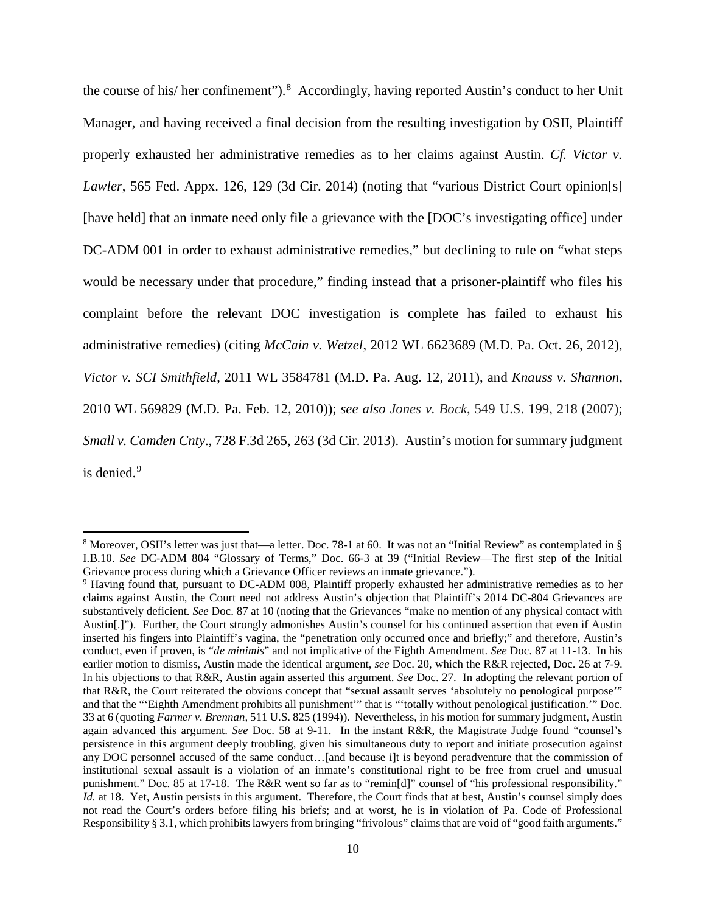the course of his/ her confinement").<sup>[8](#page-9-0)</sup> Accordingly, having reported Austin's conduct to her Unit Manager, and having received a final decision from the resulting investigation by OSII, Plaintiff properly exhausted her administrative remedies as to her claims against Austin. *Cf. Victor v. Lawler*, 565 Fed. Appx. 126, 129 (3d Cir. 2014) (noting that "various District Court opinion[s] [have held] that an inmate need only file a grievance with the [DOC's investigating office] under DC-ADM 001 in order to exhaust administrative remedies," but declining to rule on "what steps would be necessary under that procedure," finding instead that a prisoner-plaintiff who files his complaint before the relevant DOC investigation is complete has failed to exhaust his administrative remedies) (citing *McCain v. Wetzel*, 2012 WL 6623689 (M.D. Pa. Oct. 26, 2012), *Victor v. SCI Smithfield*, 2011 WL 3584781 (M.D. Pa. Aug. 12, 2011), and *Knauss v. Shannon*, 2010 WL 569829 (M.D. Pa. Feb. 12, 2010)); *see also Jones v. Bock*, 549 U.S. 199, 218 (2007); *Small v. Camden Cnty*., 728 F.3d 265, 263 (3d Cir. 2013). Austin's motion for summary judgment is denied.<sup>[9](#page-9-1)</sup>

l

<span id="page-9-0"></span><sup>8</sup> Moreover, OSII's letter was just that—a letter. Doc. 78-1 at 60. It was not an "Initial Review" as contemplated in § I.B.10. *See* DC-ADM 804 "Glossary of Terms," Doc. 66-3 at 39 ("Initial Review—The first step of the Initial Grievance process during which a Grievance Officer reviews an inmate grievance.").

<span id="page-9-1"></span><sup>9</sup> Having found that, pursuant to DC-ADM 008, Plaintiff properly exhausted her administrative remedies as to her claims against Austin, the Court need not address Austin's objection that Plaintiff's 2014 DC-804 Grievances are substantively deficient. *See* Doc. 87 at 10 (noting that the Grievances "make no mention of any physical contact with Austin[.]"). Further, the Court strongly admonishes Austin's counsel for his continued assertion that even if Austin inserted his fingers into Plaintiff's vagina, the "penetration only occurred once and briefly;" and therefore, Austin's conduct, even if proven, is "*de minimis*" and not implicative of the Eighth Amendment. *See* Doc. 87 at 11-13. In his earlier motion to dismiss, Austin made the identical argument, *see* Doc. 20, which the R&R rejected, Doc. 26 at 7-9. In his objections to that R&R, Austin again asserted this argument. *See* Doc. 27. In adopting the relevant portion of that R&R, the Court reiterated the obvious concept that "sexual assault serves 'absolutely no penological purpose'" and that the "'Eighth Amendment prohibits all punishment'" that is "'totally without penological justification.'" Doc. 33 at 6 (quoting *Farmer v. Brennan,* 511 U.S. 825 (1994)).Nevertheless, in his motion for summary judgment, Austin again advanced this argument. *See* Doc. 58 at 9-11. In the instant R&R, the Magistrate Judge found "counsel's persistence in this argument deeply troubling, given his simultaneous duty to report and initiate prosecution against any DOC personnel accused of the same conduct…[and because i]t is beyond peradventure that the commission of institutional sexual assault is a violation of an inmate's constitutional right to be free from cruel and unusual punishment." Doc. 85 at 17-18. The R&R went so far as to "remin[d]" counsel of "his professional responsibility." *Id.* at 18. Yet, Austin persists in this argument. Therefore, the Court finds that at best, Austin's counsel simply does not read the Court's orders before filing his briefs; and at worst, he is in violation of Pa. Code of Professional Responsibility § 3.1, which prohibits lawyers from bringing "frivolous" claims that are void of "good faith arguments."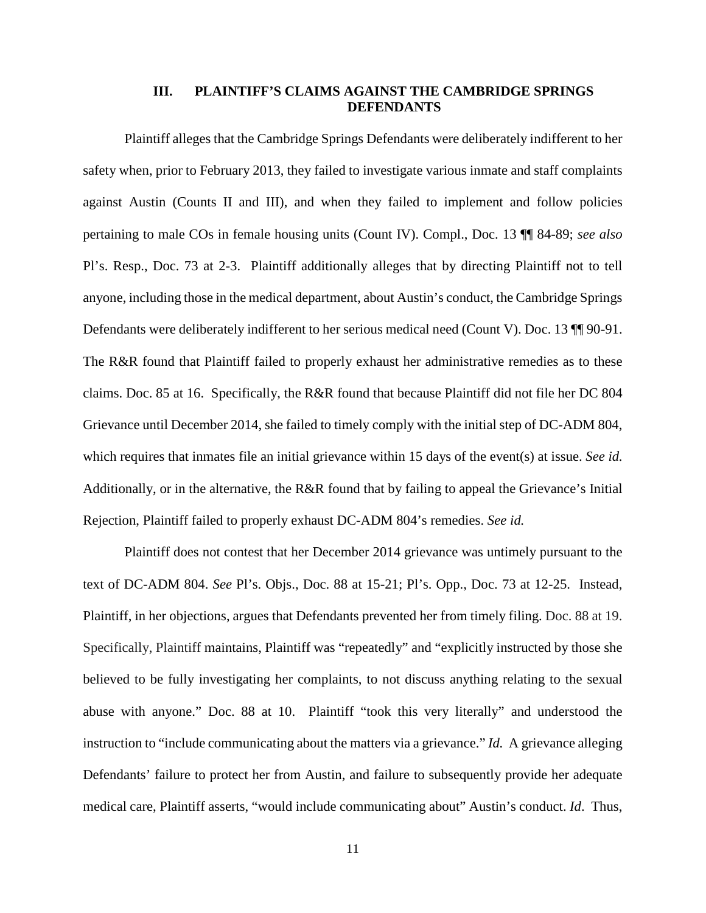## **III. PLAINTIFF'S CLAIMS AGAINST THE CAMBRIDGE SPRINGS DEFENDANTS**

Plaintiff alleges that the Cambridge Springs Defendants were deliberately indifferent to her safety when, prior to February 2013, they failed to investigate various inmate and staff complaints against Austin (Counts II and III), and when they failed to implement and follow policies pertaining to male COs in female housing units (Count IV). Compl., Doc. 13 ¶¶ 84-89; *see also* Pl's. Resp., Doc. 73 at 2-3. Plaintiff additionally alleges that by directing Plaintiff not to tell anyone, including those in the medical department, about Austin's conduct, the Cambridge Springs Defendants were deliberately indifferent to her serious medical need (Count V). Doc. 13 ¶¶ 90-91. The R&R found that Plaintiff failed to properly exhaust her administrative remedies as to these claims. Doc. 85 at 16. Specifically, the R&R found that because Plaintiff did not file her DC 804 Grievance until December 2014, she failed to timely comply with the initial step of DC-ADM 804, which requires that inmates file an initial grievance within 15 days of the event(s) at issue. *See id.* Additionally, or in the alternative, the R&R found that by failing to appeal the Grievance's Initial Rejection, Plaintiff failed to properly exhaust DC-ADM 804's remedies. *See id.*

Plaintiff does not contest that her December 2014 grievance was untimely pursuant to the text of DC-ADM 804. *See* Pl's. Objs., Doc. 88 at 15-21; Pl's. Opp., Doc. 73 at 12-25. Instead, Plaintiff, in her objections, argues that Defendants prevented her from timely filing. Doc. 88 at 19. Specifically, Plaintiff maintains, Plaintiff was "repeatedly" and "explicitly instructed by those she believed to be fully investigating her complaints, to not discuss anything relating to the sexual abuse with anyone." Doc. 88 at 10. Plaintiff "took this very literally" and understood the instruction to "include communicating about the matters via a grievance." *Id.* A grievance alleging Defendants' failure to protect her from Austin, and failure to subsequently provide her adequate medical care, Plaintiff asserts, "would include communicating about" Austin's conduct. *Id*. Thus,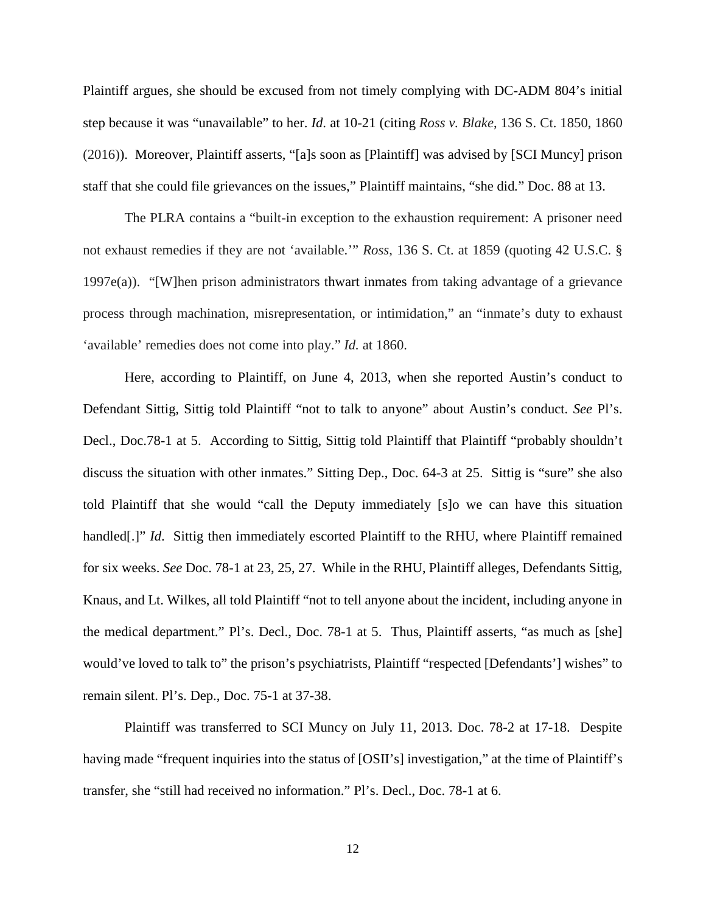Plaintiff argues, she should be excused from not timely complying with DC-ADM 804's initial step because it was "unavailable" to her. *Id*. at 10-21 (citing *Ross v. Blake*, 136 S. Ct. 1850, 1860 (2016)). Moreover, Plaintiff asserts, "[a]s soon as [Plaintiff] was advised by [SCI Muncy] prison staff that she could file grievances on the issues," Plaintiff maintains, "she did*.*" Doc. 88 at 13.

The PLRA contains a "built-in exception to the exhaustion requirement: A prisoner need not exhaust remedies if they are not 'available.'" *Ross*, 136 S. Ct. at 1859 (quoting 42 U.S.C. § 1997e(a)). "[W]hen prison administrators thwart inmates from taking advantage of a grievance process through machination, misrepresentation, or intimidation," an "inmate's duty to exhaust 'available' remedies does not come into play." *Id.* at 1860.

Here, according to Plaintiff, on June 4, 2013, when she reported Austin's conduct to Defendant Sittig, Sittig told Plaintiff "not to talk to anyone" about Austin's conduct. *See* Pl's. Decl., Doc.78-1 at 5. According to Sittig, Sittig told Plaintiff that Plaintiff "probably shouldn't discuss the situation with other inmates." Sitting Dep., Doc. 64-3 at 25. Sittig is "sure" she also told Plaintiff that she would "call the Deputy immediately [s]o we can have this situation handled<sup>[.]"</sup> *Id.* Sittig then immediately escorted Plaintiff to the RHU, where Plaintiff remained for six weeks. *See* Doc. 78-1 at 23, 25, 27. While in the RHU, Plaintiff alleges, Defendants Sittig, Knaus, and Lt. Wilkes, all told Plaintiff "not to tell anyone about the incident, including anyone in the medical department." Pl's. Decl., Doc. 78-1 at 5. Thus, Plaintiff asserts, "as much as [she] would've loved to talk to" the prison's psychiatrists, Plaintiff "respected [Defendants'] wishes" to remain silent. Pl's. Dep., Doc. 75-1 at 37-38.

Plaintiff was transferred to SCI Muncy on July 11, 2013. Doc. 78-2 at 17-18. Despite having made "frequent inquiries into the status of [OSII's] investigation," at the time of Plaintiff's transfer, she "still had received no information." Pl's. Decl., Doc. 78-1 at 6.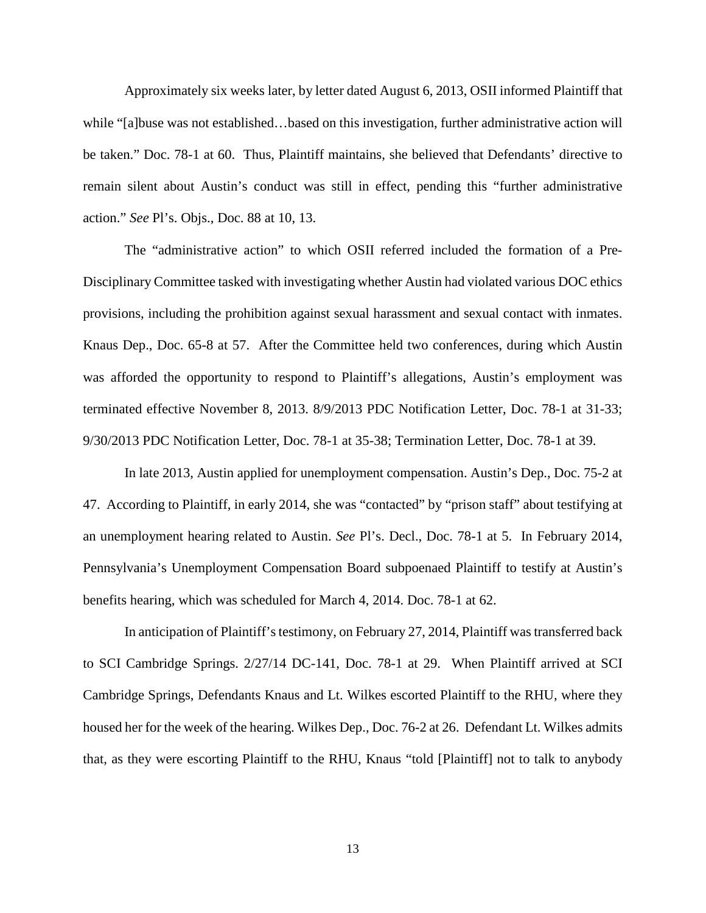Approximately six weeks later, by letter dated August 6, 2013, OSII informed Plaintiff that while "[a]buse was not established…based on this investigation, further administrative action will be taken." Doc. 78-1 at 60. Thus, Plaintiff maintains, she believed that Defendants' directive to remain silent about Austin's conduct was still in effect, pending this "further administrative action." *See* Pl's. Objs., Doc. 88 at 10, 13.

The "administrative action" to which OSII referred included the formation of a Pre-Disciplinary Committee tasked with investigating whether Austin had violated various DOC ethics provisions, including the prohibition against sexual harassment and sexual contact with inmates. Knaus Dep., Doc. 65-8 at 57. After the Committee held two conferences, during which Austin was afforded the opportunity to respond to Plaintiff's allegations, Austin's employment was terminated effective November 8, 2013. 8/9/2013 PDC Notification Letter, Doc. 78-1 at 31-33; 9/30/2013 PDC Notification Letter, Doc. 78-1 at 35-38; Termination Letter, Doc. 78-1 at 39.

In late 2013, Austin applied for unemployment compensation. Austin's Dep., Doc. 75-2 at 47. According to Plaintiff, in early 2014, she was "contacted" by "prison staff" about testifying at an unemployment hearing related to Austin. *See* Pl's. Decl., Doc. 78-1 at 5. In February 2014, Pennsylvania's Unemployment Compensation Board subpoenaed Plaintiff to testify at Austin's benefits hearing, which was scheduled for March 4, 2014. Doc. 78-1 at 62.

In anticipation of Plaintiff's testimony, on February 27, 2014, Plaintiff was transferred back to SCI Cambridge Springs. 2/27/14 DC-141, Doc. 78-1 at 29. When Plaintiff arrived at SCI Cambridge Springs, Defendants Knaus and Lt. Wilkes escorted Plaintiff to the RHU, where they housed her for the week of the hearing. Wilkes Dep., Doc. 76-2 at 26. Defendant Lt. Wilkes admits that, as they were escorting Plaintiff to the RHU, Knaus "told [Plaintiff] not to talk to anybody

13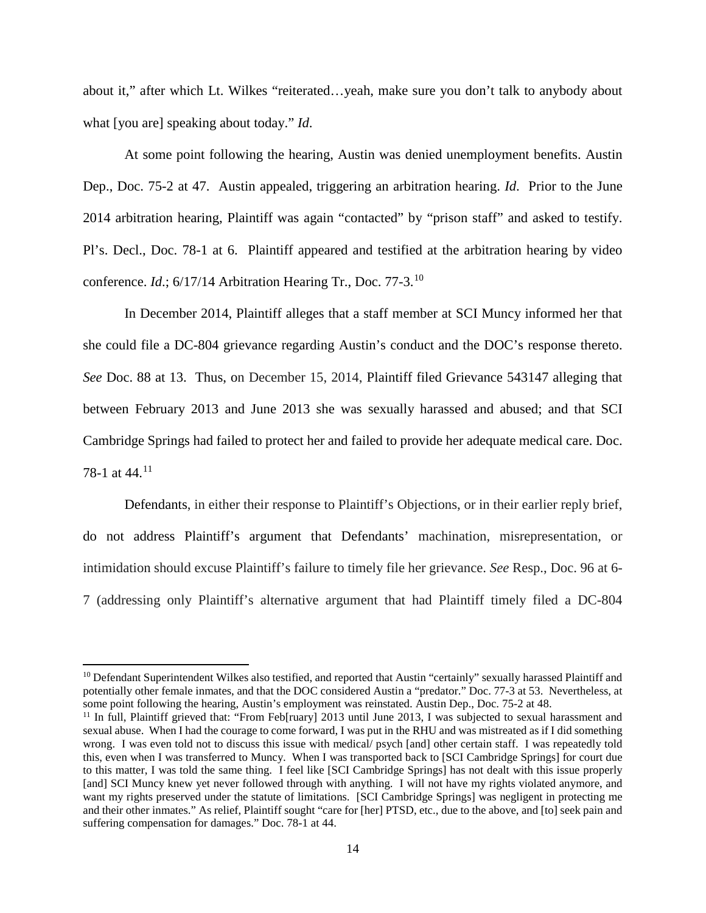about it," after which Lt. Wilkes "reiterated…yeah, make sure you don't talk to anybody about what [you are] speaking about today." *Id*.

At some point following the hearing, Austin was denied unemployment benefits. Austin Dep., Doc. 75-2 at 47. Austin appealed, triggering an arbitration hearing. *Id*. Prior to the June 2014 arbitration hearing, Plaintiff was again "contacted" by "prison staff" and asked to testify. Pl's. Decl., Doc. 78-1 at 6. Plaintiff appeared and testified at the arbitration hearing by video conference. *Id*.; 6/17/14 Arbitration Hearing Tr., Doc. 77-3.[10](#page-13-0)

In December 2014, Plaintiff alleges that a staff member at SCI Muncy informed her that she could file a DC-804 grievance regarding Austin's conduct and the DOC's response thereto. *See* Doc. 88 at 13. Thus, on December 15, 2014, Plaintiff filed Grievance 543147 alleging that between February 2013 and June 2013 she was sexually harassed and abused; and that SCI Cambridge Springs had failed to protect her and failed to provide her adequate medical care. Doc. 78-1 at 44.[11](#page-13-1)

Defendants, in either their response to Plaintiff's Objections, or in their earlier reply brief, do not address Plaintiff's argument that Defendants' machination, misrepresentation, or intimidation should excuse Plaintiff's failure to timely file her grievance. *See* Resp., Doc. 96 at 6- 7 (addressing only Plaintiff's alternative argument that had Plaintiff timely filed a DC-804

<span id="page-13-0"></span> $10$  Defendant Superintendent Wilkes also testified, and reported that Austin "certainly" sexually harassed Plaintiff and potentially other female inmates, and that the DOC considered Austin a "predator." Doc. 77-3 at 53. Nevertheless, at some point following the hearing, Austin's employment was reinstated. Austin Dep., Doc. 75-2 at 48.

<span id="page-13-1"></span><sup>&</sup>lt;sup>11</sup> In full, Plaintiff grieved that: "From Feb[ruary] 2013 until June 2013, I was subjected to sexual harassment and sexual abuse. When I had the courage to come forward, I was put in the RHU and was mistreated as if I did something wrong. I was even told not to discuss this issue with medical/ psych [and] other certain staff. I was repeatedly told this, even when I was transferred to Muncy. When I was transported back to [SCI Cambridge Springs] for court due to this matter, I was told the same thing. I feel like [SCI Cambridge Springs] has not dealt with this issue properly [and] SCI Muncy knew yet never followed through with anything. I will not have my rights violated anymore, and want my rights preserved under the statute of limitations. [SCI Cambridge Springs] was negligent in protecting me and their other inmates." As relief, Plaintiff sought "care for [her] PTSD, etc., due to the above, and [to] seek pain and suffering compensation for damages." Doc. 78-1 at 44.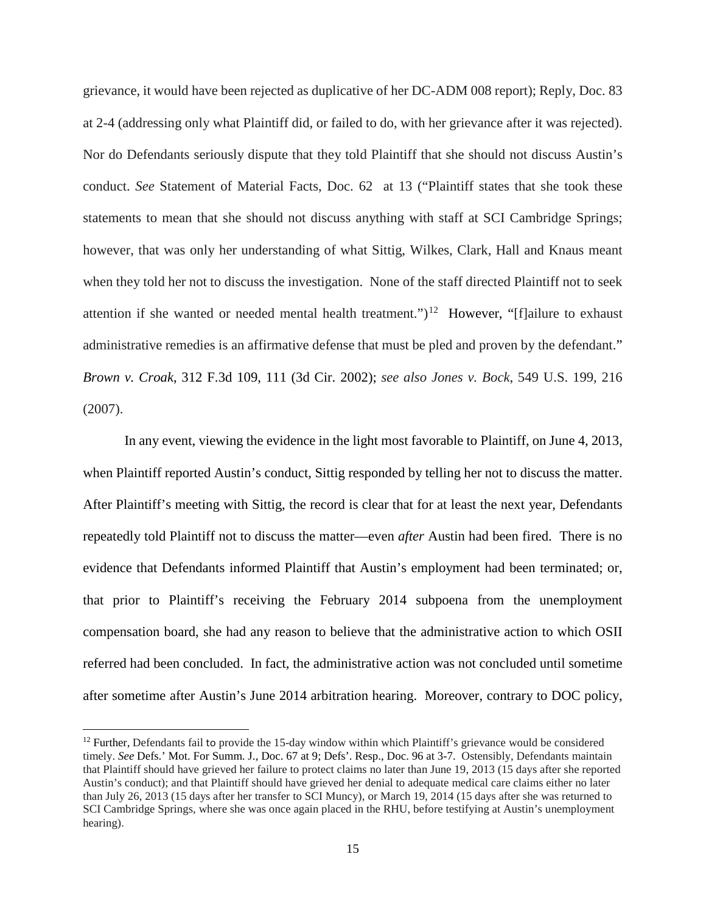grievance, it would have been rejected as duplicative of her DC-ADM 008 report); Reply, Doc. 83 at 2-4 (addressing only what Plaintiff did, or failed to do, with her grievance after it was rejected). Nor do Defendants seriously dispute that they told Plaintiff that she should not discuss Austin's conduct. *See* Statement of Material Facts, Doc. 62 at 13 ("Plaintiff states that she took these statements to mean that she should not discuss anything with staff at SCI Cambridge Springs; however, that was only her understanding of what Sittig, Wilkes, Clark, Hall and Knaus meant when they told her not to discuss the investigation. None of the staff directed Plaintiff not to seek attention if she wanted or needed mental health treatment.")<sup>[12](#page-14-0)</sup> However, "[f]ailure to exhaust administrative remedies is an affirmative defense that must be pled and proven by the defendant." *Brown v. Croak*, 312 F.3d 109, 111 (3d Cir. 2002); *see also Jones v. Bock*, 549 U.S. 199, 216 (2007).

In any event, viewing the evidence in the light most favorable to Plaintiff, on June 4, 2013, when Plaintiff reported Austin's conduct, Sittig responded by telling her not to discuss the matter. After Plaintiff's meeting with Sittig, the record is clear that for at least the next year, Defendants repeatedly told Plaintiff not to discuss the matter—even *after* Austin had been fired. There is no evidence that Defendants informed Plaintiff that Austin's employment had been terminated; or, that prior to Plaintiff's receiving the February 2014 subpoena from the unemployment compensation board, she had any reason to believe that the administrative action to which OSII referred had been concluded. In fact, the administrative action was not concluded until sometime after sometime after Austin's June 2014 arbitration hearing. Moreover, contrary to DOC policy,

<span id="page-14-0"></span><sup>&</sup>lt;sup>12</sup> Further, Defendants fail to provide the 15-day window within which Plaintiff's grievance would be considered timely. *See* Defs.' Mot. For Summ. J., Doc. 67 at 9; Defs'. Resp., Doc. 96 at 3-7. Ostensibly, Defendants maintain that Plaintiff should have grieved her failure to protect claims no later than June 19, 2013 (15 days after she reported Austin's conduct); and that Plaintiff should have grieved her denial to adequate medical care claims either no later than July 26, 2013 (15 days after her transfer to SCI Muncy), or March 19, 2014 (15 days after she was returned to SCI Cambridge Springs, where she was once again placed in the RHU, before testifying at Austin's unemployment hearing).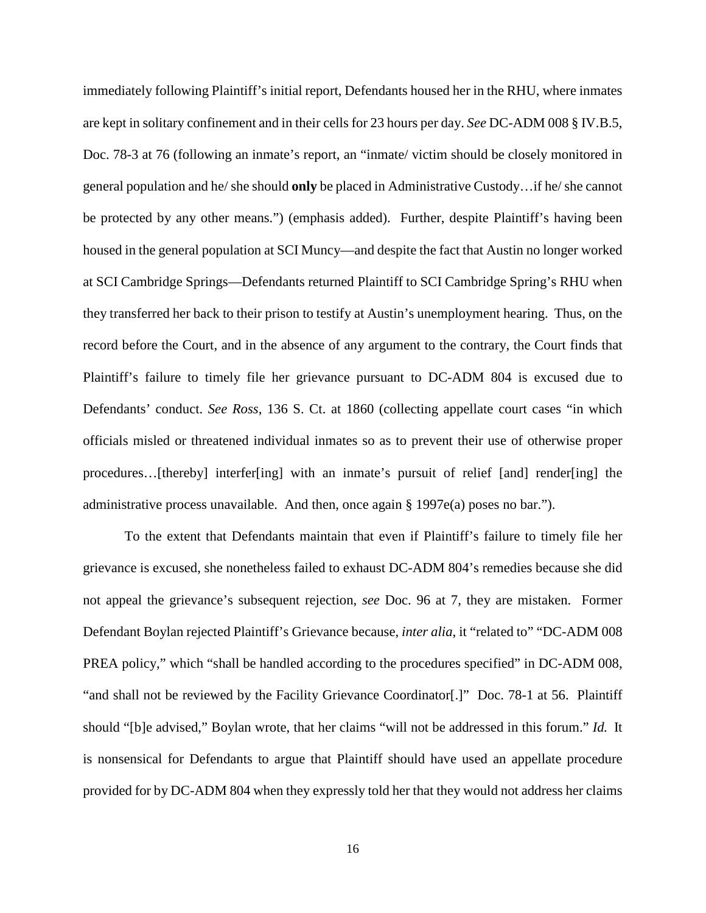immediately following Plaintiff's initial report, Defendants housed her in the RHU, where inmates are kept in solitary confinement and in their cells for 23 hours per day. *See* DC-ADM 008 § IV.B.5, Doc. 78-3 at 76 (following an inmate's report, an "inmate/ victim should be closely monitored in general population and he/ she should **only** be placed in Administrative Custody…if he/ she cannot be protected by any other means.") (emphasis added). Further, despite Plaintiff's having been housed in the general population at SCI Muncy—and despite the fact that Austin no longer worked at SCI Cambridge Springs—Defendants returned Plaintiff to SCI Cambridge Spring's RHU when they transferred her back to their prison to testify at Austin's unemployment hearing. Thus, on the record before the Court, and in the absence of any argument to the contrary, the Court finds that Plaintiff's failure to timely file her grievance pursuant to DC-ADM 804 is excused due to Defendants' conduct. *See Ross*, 136 S. Ct. at 1860 (collecting appellate court cases "in which officials misled or threatened individual inmates so as to prevent their use of otherwise proper procedures…[thereby] interfer[ing] with an inmate's pursuit of relief [and] render[ing] the administrative process unavailable. And then, once again § 1997e(a) poses no bar.").

To the extent that Defendants maintain that even if Plaintiff's failure to timely file her grievance is excused, she nonetheless failed to exhaust DC-ADM 804's remedies because she did not appeal the grievance's subsequent rejection, *see* Doc. 96 at 7, they are mistaken. Former Defendant Boylan rejected Plaintiff's Grievance because, *inter alia*, it "related to" "DC-ADM 008 PREA policy," which "shall be handled according to the procedures specified" in DC-ADM 008, "and shall not be reviewed by the Facility Grievance Coordinator[.]" Doc. 78-1 at 56. Plaintiff should "[b]e advised," Boylan wrote, that her claims "will not be addressed in this forum." *Id.* It is nonsensical for Defendants to argue that Plaintiff should have used an appellate procedure provided for by DC-ADM 804 when they expressly told her that they would not address her claims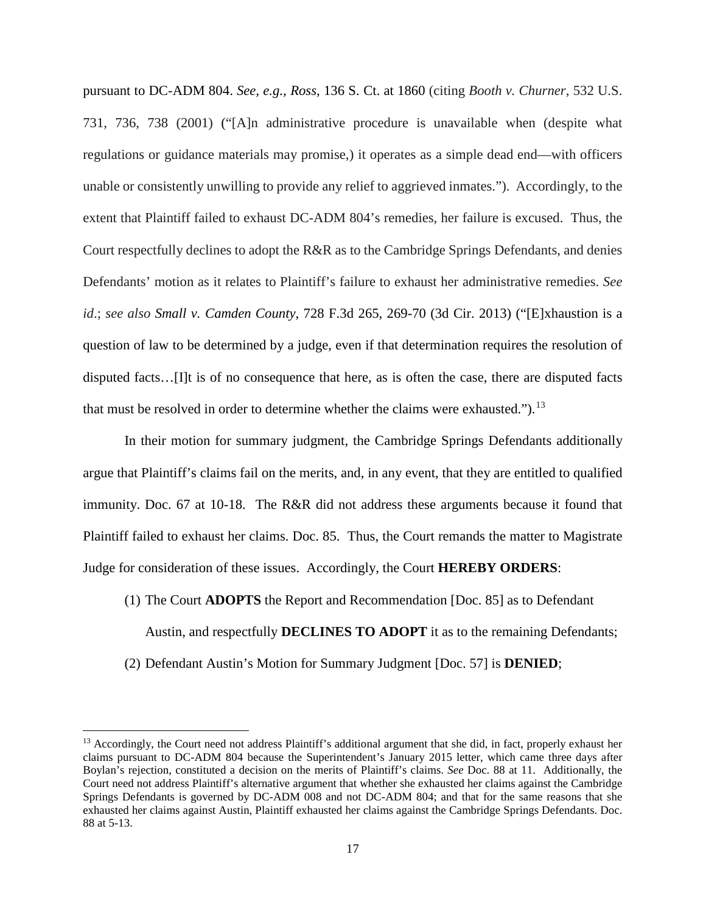pursuant to DC-ADM 804. *See, e.g.*, *Ross*, 136 S. Ct. at 1860 (citing *Booth v. Churner*, 532 U.S. 731, 736, 738 (2001) ("[A]n administrative procedure is unavailable when (despite what regulations or guidance materials may promise,) it operates as a simple dead end—with officers unable or consistently unwilling to provide any relief to aggrieved inmates."). Accordingly, to the extent that Plaintiff failed to exhaust DC-ADM 804's remedies, her failure is excused. Thus, the Court respectfully declines to adopt the R&R as to the Cambridge Springs Defendants, and denies Defendants' motion as it relates to Plaintiff's failure to exhaust her administrative remedies. *See id*.; *see also Small v. Camden County*, 728 F.3d 265, 269-70 (3d Cir. 2013) ("[E]xhaustion is a question of law to be determined by a judge, even if that determination requires the resolution of disputed facts…[I]t is of no consequence that here, as is often the case, there are disputed facts that must be resolved in order to determine whether the claims were exhausted.").<sup>[13](#page-16-0)</sup>

In their motion for summary judgment, the Cambridge Springs Defendants additionally argue that Plaintiff's claims fail on the merits, and, in any event, that they are entitled to qualified immunity. Doc. 67 at 10-18. The R&R did not address these arguments because it found that Plaintiff failed to exhaust her claims. Doc. 85. Thus, the Court remands the matter to Magistrate Judge for consideration of these issues. Accordingly, the Court **HEREBY ORDERS**:

- (1) The Court **ADOPTS** the Report and Recommendation [Doc. 85] as to Defendant Austin, and respectfully **DECLINES TO ADOPT** it as to the remaining Defendants;
- (2) Defendant Austin's Motion for Summary Judgment [Doc. 57] is **DENIED**;

<span id="page-16-0"></span><sup>&</sup>lt;sup>13</sup> Accordingly, the Court need not address Plaintiff's additional argument that she did, in fact, properly exhaust her claims pursuant to DC-ADM 804 because the Superintendent's January 2015 letter, which came three days after Boylan's rejection, constituted a decision on the merits of Plaintiff's claims. *See* Doc. 88 at 11. Additionally, the Court need not address Plaintiff's alternative argument that whether she exhausted her claims against the Cambridge Springs Defendants is governed by DC-ADM 008 and not DC-ADM 804; and that for the same reasons that she exhausted her claims against Austin, Plaintiff exhausted her claims against the Cambridge Springs Defendants. Doc. 88 at 5-13.